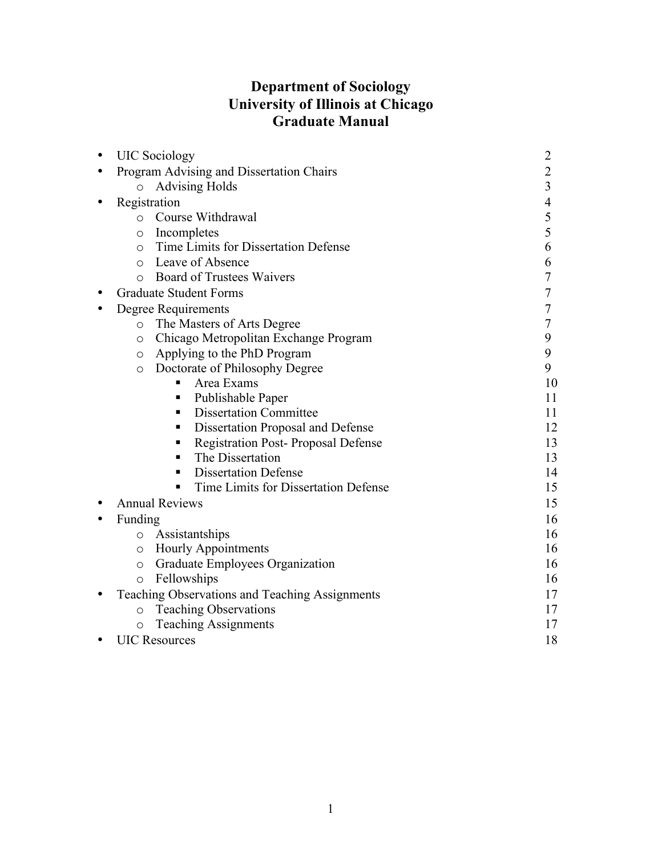# **Department of Sociology University of Illinois at Chicago Graduate Manual**

|  | <b>UIC</b> Sociology                             | $\overline{2}$ |
|--|--------------------------------------------------|----------------|
|  | Program Advising and Dissertation Chairs         | $\overline{2}$ |
|  | <b>Advising Holds</b><br>$\circ$                 | $\overline{3}$ |
|  | Registration                                     | $\overline{4}$ |
|  | Course Withdrawal<br>$\circ$                     | 5              |
|  | Incompletes<br>$\circ$                           | 5              |
|  | Time Limits for Dissertation Defense<br>$\circ$  | 6              |
|  | Leave of Absence<br>$\bigcirc$                   | 6              |
|  | <b>Board of Trustees Waivers</b><br>$\bigcirc$   | 7              |
|  | <b>Graduate Student Forms</b>                    | 7              |
|  | Degree Requirements                              | 7              |
|  | The Masters of Arts Degree<br>$\circ$            | $\overline{7}$ |
|  | Chicago Metropolitan Exchange Program<br>$\circ$ | 9              |
|  | Applying to the PhD Program<br>$\circ$           | 9              |
|  | Doctorate of Philosophy Degree<br>$\circ$        | 9              |
|  | Area Exams                                       | 10             |
|  | Publishable Paper<br>п                           | 11             |
|  | <b>Dissertation Committee</b><br>п.              | 11             |
|  | Dissertation Proposal and Defense<br>٠           | 12             |
|  | <b>Registration Post-Proposal Defense</b><br>п   | 13             |
|  | The Dissertation<br>٠                            | 13             |
|  | <b>Dissertation Defense</b><br>п                 | 14             |
|  | Time Limits for Dissertation Defense<br>٠        | 15             |
|  | <b>Annual Reviews</b>                            | 15             |
|  | Funding                                          | 16             |
|  | o Assistantships                                 | 16             |
|  | <b>Hourly Appointments</b><br>$\circ$            | 16             |
|  | Graduate Employees Organization<br>$\circ$       | 16             |
|  | Fellowships<br>$\circ$                           | 16             |
|  | Teaching Observations and Teaching Assignments   | 17             |
|  | <b>Teaching Observations</b><br>$\circ$          | 17             |
|  | <b>Teaching Assignments</b><br>$\circ$           | 17             |
|  | <b>UIC Resources</b>                             | 18             |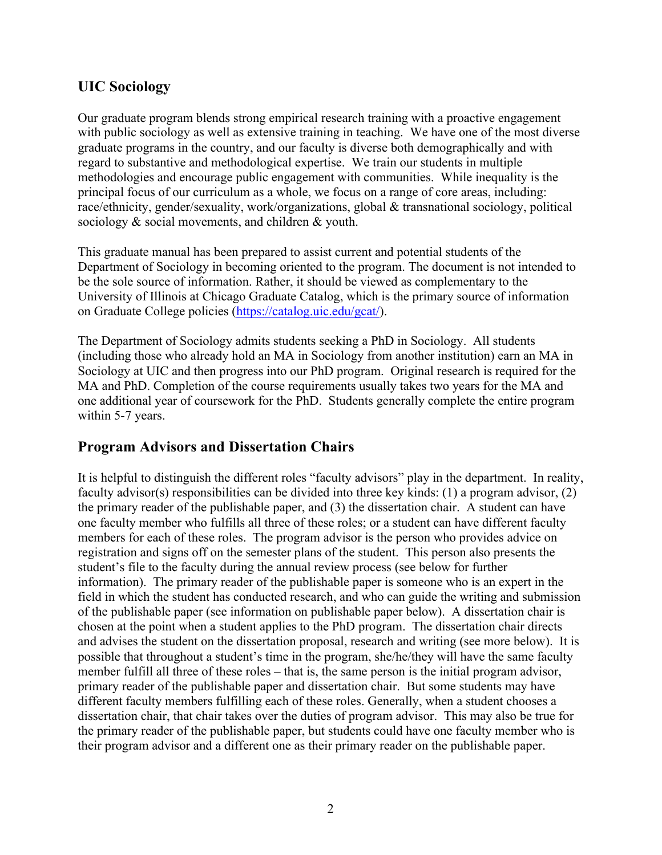# **UIC Sociology**

Our graduate program blends strong empirical research training with a proactive engagement with public sociology as well as extensive training in teaching. We have one of the most diverse graduate programs in the country, and our faculty is diverse both demographically and with regard to substantive and methodological expertise. We train our students in multiple methodologies and encourage public engagement with communities. While inequality is the principal focus of our curriculum as a whole, we focus on a range of core areas, including: race/ethnicity, gender/sexuality, work/organizations, global & transnational sociology, political sociology & social movements, and children & youth.

This graduate manual has been prepared to assist current and potential students of the Department of Sociology in becoming oriented to the program. The document is not intended to be the sole source of information. Rather, it should be viewed as complementary to the University of Illinois at Chicago Graduate Catalog, which is the primary source of information on Graduate College policies (https://catalog.uic.edu/gcat/).

The Department of Sociology admits students seeking a PhD in Sociology. All students (including those who already hold an MA in Sociology from another institution) earn an MA in Sociology at UIC and then progress into our PhD program. Original research is required for the MA and PhD. Completion of the course requirements usually takes two years for the MA and one additional year of coursework for the PhD. Students generally complete the entire program within 5-7 years.

# **Program Advisors and Dissertation Chairs**

It is helpful to distinguish the different roles "faculty advisors" play in the department. In reality, faculty advisor(s) responsibilities can be divided into three key kinds: (1) a program advisor, (2) the primary reader of the publishable paper, and (3) the dissertation chair. A student can have one faculty member who fulfills all three of these roles; or a student can have different faculty members for each of these roles. The program advisor is the person who provides advice on registration and signs off on the semester plans of the student. This person also presents the student's file to the faculty during the annual review process (see below for further information). The primary reader of the publishable paper is someone who is an expert in the field in which the student has conducted research, and who can guide the writing and submission of the publishable paper (see information on publishable paper below). A dissertation chair is chosen at the point when a student applies to the PhD program. The dissertation chair directs and advises the student on the dissertation proposal, research and writing (see more below). It is possible that throughout a student's time in the program, she/he/they will have the same faculty member fulfill all three of these roles – that is, the same person is the initial program advisor, primary reader of the publishable paper and dissertation chair. But some students may have different faculty members fulfilling each of these roles. Generally, when a student chooses a dissertation chair, that chair takes over the duties of program advisor. This may also be true for the primary reader of the publishable paper, but students could have one faculty member who is their program advisor and a different one as their primary reader on the publishable paper.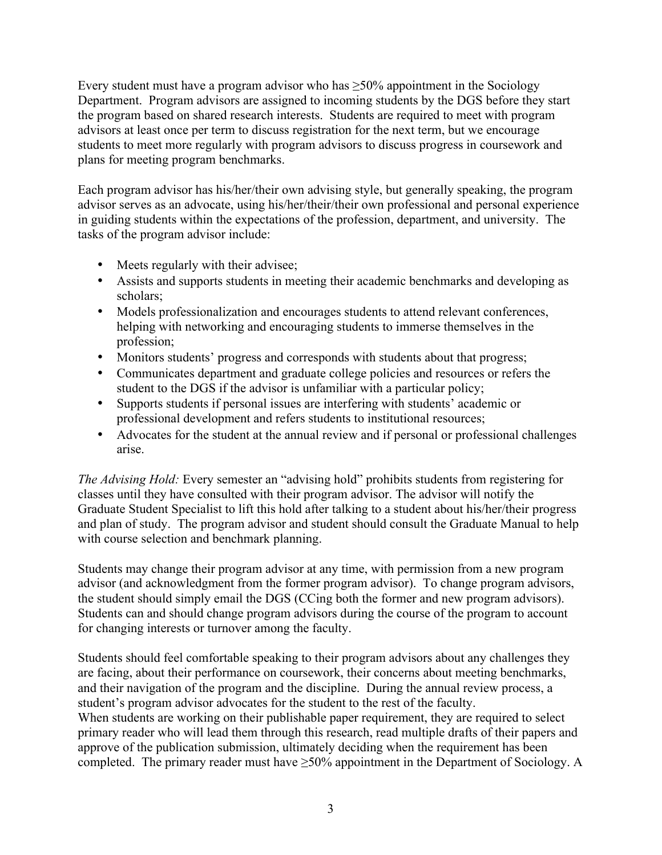Every student must have a program advisor who has  $\geq 50\%$  appointment in the Sociology Department. Program advisors are assigned to incoming students by the DGS before they start the program based on shared research interests. Students are required to meet with program advisors at least once per term to discuss registration for the next term, but we encourage students to meet more regularly with program advisors to discuss progress in coursework and plans for meeting program benchmarks.

Each program advisor has his/her/their own advising style, but generally speaking, the program advisor serves as an advocate, using his/her/their/their own professional and personal experience in guiding students within the expectations of the profession, department, and university. The tasks of the program advisor include:

- Meets regularly with their advisee;
- Assists and supports students in meeting their academic benchmarks and developing as scholars;
- Models professionalization and encourages students to attend relevant conferences, helping with networking and encouraging students to immerse themselves in the profession;
- Monitors students' progress and corresponds with students about that progress;
- Communicates department and graduate college policies and resources or refers the student to the DGS if the advisor is unfamiliar with a particular policy;
- Supports students if personal issues are interfering with students' academic or professional development and refers students to institutional resources;
- Advocates for the student at the annual review and if personal or professional challenges arise.

*The Advising Hold:* Every semester an "advising hold" prohibits students from registering for classes until they have consulted with their program advisor. The advisor will notify the Graduate Student Specialist to lift this hold after talking to a student about his/her/their progress and plan of study. The program advisor and student should consult the Graduate Manual to help with course selection and benchmark planning.

Students may change their program advisor at any time, with permission from a new program advisor (and acknowledgment from the former program advisor). To change program advisors, the student should simply email the DGS (CCing both the former and new program advisors). Students can and should change program advisors during the course of the program to account for changing interests or turnover among the faculty.

Students should feel comfortable speaking to their program advisors about any challenges they are facing, about their performance on coursework, their concerns about meeting benchmarks, and their navigation of the program and the discipline. During the annual review process, a student's program advisor advocates for the student to the rest of the faculty. When students are working on their publishable paper requirement, they are required to select primary reader who will lead them through this research, read multiple drafts of their papers and approve of the publication submission, ultimately deciding when the requirement has been completed. The primary reader must have  $\geq$ 50% appointment in the Department of Sociology. A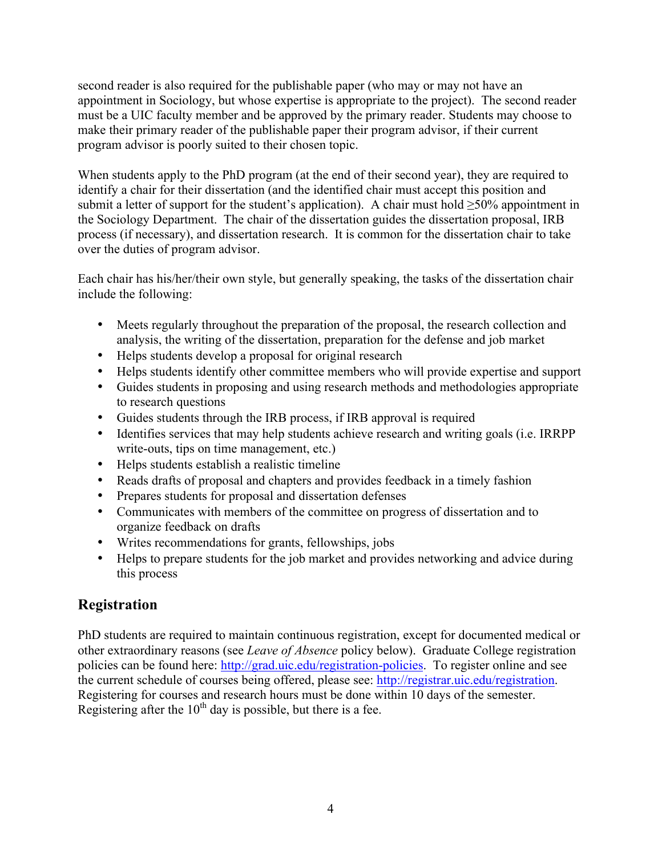second reader is also required for the publishable paper (who may or may not have an appointment in Sociology, but whose expertise is appropriate to the project). The second reader must be a UIC faculty member and be approved by the primary reader. Students may choose to make their primary reader of the publishable paper their program advisor, if their current program advisor is poorly suited to their chosen topic.

When students apply to the PhD program (at the end of their second year), they are required to identify a chair for their dissertation (and the identified chair must accept this position and submit a letter of support for the student's application). A chair must hold  $\geq$ 50% appointment in the Sociology Department. The chair of the dissertation guides the dissertation proposal, IRB process (if necessary), and dissertation research. It is common for the dissertation chair to take over the duties of program advisor.

Each chair has his/her/their own style, but generally speaking, the tasks of the dissertation chair include the following:

- Meets regularly throughout the preparation of the proposal, the research collection and analysis, the writing of the dissertation, preparation for the defense and job market
- Helps students develop a proposal for original research
- Helps students identify other committee members who will provide expertise and support
- Guides students in proposing and using research methods and methodologies appropriate to research questions
- Guides students through the IRB process, if IRB approval is required
- Identifies services that may help students achieve research and writing goals (i.e. IRRPP write-outs, tips on time management, etc.)
- Helps students establish a realistic timeline
- Reads drafts of proposal and chapters and provides feedback in a timely fashion
- Prepares students for proposal and dissertation defenses
- Communicates with members of the committee on progress of dissertation and to organize feedback on drafts
- Writes recommendations for grants, fellowships, jobs
- Helps to prepare students for the job market and provides networking and advice during this process

# **Registration**

PhD students are required to maintain continuous registration, except for documented medical or other extraordinary reasons (see *Leave of Absence* policy below). Graduate College registration policies can be found here: http://grad.uic.edu/registration-policies. To register online and see the current schedule of courses being offered, please see: http://registrar.uic.edu/registration. Registering for courses and research hours must be done within 10 days of the semester. Registering after the  $10<sup>th</sup>$  day is possible, but there is a fee.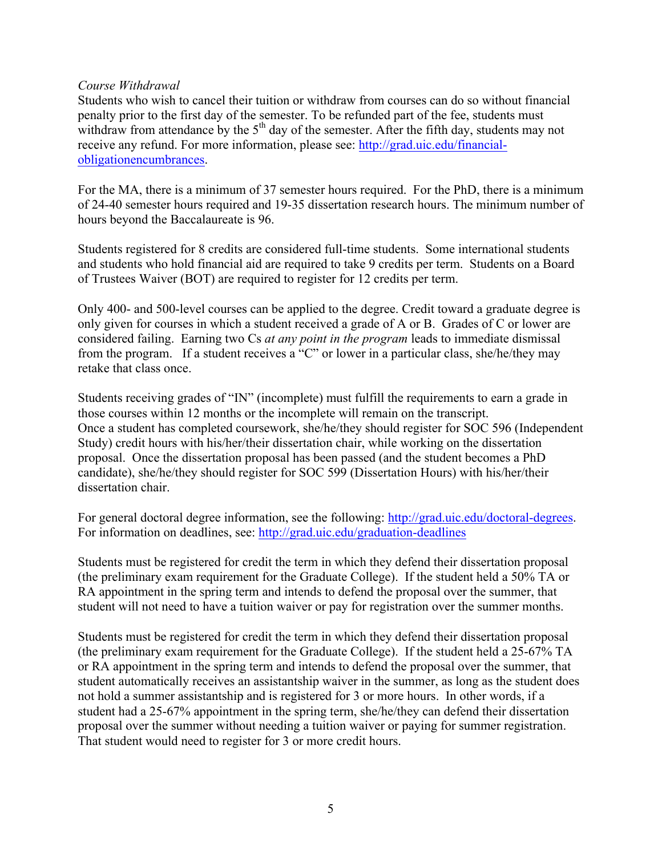#### *Course Withdrawal*

Students who wish to cancel their tuition or withdraw from courses can do so without financial penalty prior to the first day of the semester. To be refunded part of the fee, students must withdraw from attendance by the  $5<sup>th</sup>$  day of the semester. After the fifth day, students may not receive any refund. For more information, please see: http://grad.uic.edu/financialobligationencumbrances.

For the MA, there is a minimum of 37 semester hours required. For the PhD, there is a minimum of 24-40 semester hours required and 19-35 dissertation research hours. The minimum number of hours beyond the Baccalaureate is 96.

Students registered for 8 credits are considered full-time students. Some international students and students who hold financial aid are required to take 9 credits per term. Students on a Board of Trustees Waiver (BOT) are required to register for 12 credits per term.

Only 400- and 500-level courses can be applied to the degree. Credit toward a graduate degree is only given for courses in which a student received a grade of A or B. Grades of C or lower are considered failing. Earning two Cs *at any point in the program* leads to immediate dismissal from the program. If a student receives a "C" or lower in a particular class, she/he/they may retake that class once.

Students receiving grades of "IN" (incomplete) must fulfill the requirements to earn a grade in those courses within 12 months or the incomplete will remain on the transcript. Once a student has completed coursework, she/he/they should register for SOC 596 (Independent Study) credit hours with his/her/their dissertation chair, while working on the dissertation proposal. Once the dissertation proposal has been passed (and the student becomes a PhD candidate), she/he/they should register for SOC 599 (Dissertation Hours) with his/her/their dissertation chair.

For general doctoral degree information, see the following: http://grad.uic.edu/doctoral-degrees. For information on deadlines, see: http://grad.uic.edu/graduation-deadlines

Students must be registered for credit the term in which they defend their dissertation proposal (the preliminary exam requirement for the Graduate College). If the student held a 50% TA or RA appointment in the spring term and intends to defend the proposal over the summer, that student will not need to have a tuition waiver or pay for registration over the summer months.

Students must be registered for credit the term in which they defend their dissertation proposal (the preliminary exam requirement for the Graduate College). If the student held a 25-67% TA or RA appointment in the spring term and intends to defend the proposal over the summer, that student automatically receives an assistantship waiver in the summer, as long as the student does not hold a summer assistantship and is registered for 3 or more hours. In other words, if a student had a 25-67% appointment in the spring term, she/he/they can defend their dissertation proposal over the summer without needing a tuition waiver or paying for summer registration. That student would need to register for 3 or more credit hours.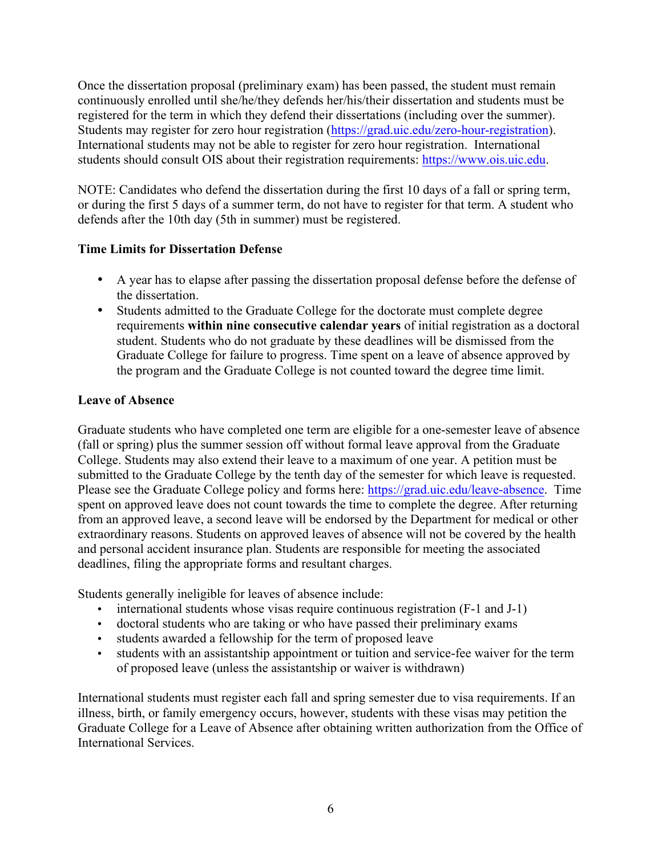Once the dissertation proposal (preliminary exam) has been passed, the student must remain continuously enrolled until she/he/they defends her/his/their dissertation and students must be registered for the term in which they defend their dissertations (including over the summer). Students may register for zero hour registration (https://grad.uic.edu/zero-hour-registration). International students may not be able to register for zero hour registration. International students should consult OIS about their registration requirements: https://www.ois.uic.edu.

NOTE: Candidates who defend the dissertation during the first 10 days of a fall or spring term, or during the first 5 days of a summer term, do not have to register for that term. A student who defends after the 10th day (5th in summer) must be registered.

# **Time Limits for Dissertation Defense**

- A year has to elapse after passing the dissertation proposal defense before the defense of the dissertation.
- Students admitted to the Graduate College for the doctorate must complete degree requirements **within nine consecutive calendar years** of initial registration as a doctoral student. Students who do not graduate by these deadlines will be dismissed from the Graduate College for failure to progress. Time spent on a leave of absence approved by the program and the Graduate College is not counted toward the degree time limit.

# **Leave of Absence**

Graduate students who have completed one term are eligible for a one-semester leave of absence (fall or spring) plus the summer session off without formal leave approval from the Graduate College. Students may also extend their leave to a maximum of one year. A petition must be submitted to the Graduate College by the tenth day of the semester for which leave is requested. Please see the Graduate College policy and forms here: https://grad.uic.edu/leave-absence. Time spent on approved leave does not count towards the time to complete the degree. After returning from an approved leave, a second leave will be endorsed by the Department for medical or other extraordinary reasons. Students on approved leaves of absence will not be covered by the health and personal accident insurance plan. Students are responsible for meeting the associated deadlines, filing the appropriate forms and resultant charges.

Students generally ineligible for leaves of absence include:

- international students whose visas require continuous registration (F-1 and J-1)
- doctoral students who are taking or who have passed their preliminary exams
- students awarded a fellowship for the term of proposed leave
- students with an assistantship appointment or tuition and service-fee waiver for the term of proposed leave (unless the assistantship or waiver is withdrawn)

International students must register each fall and spring semester due to visa requirements. If an illness, birth, or family emergency occurs, however, students with these visas may petition the Graduate College for a Leave of Absence after obtaining written authorization from the Office of International Services.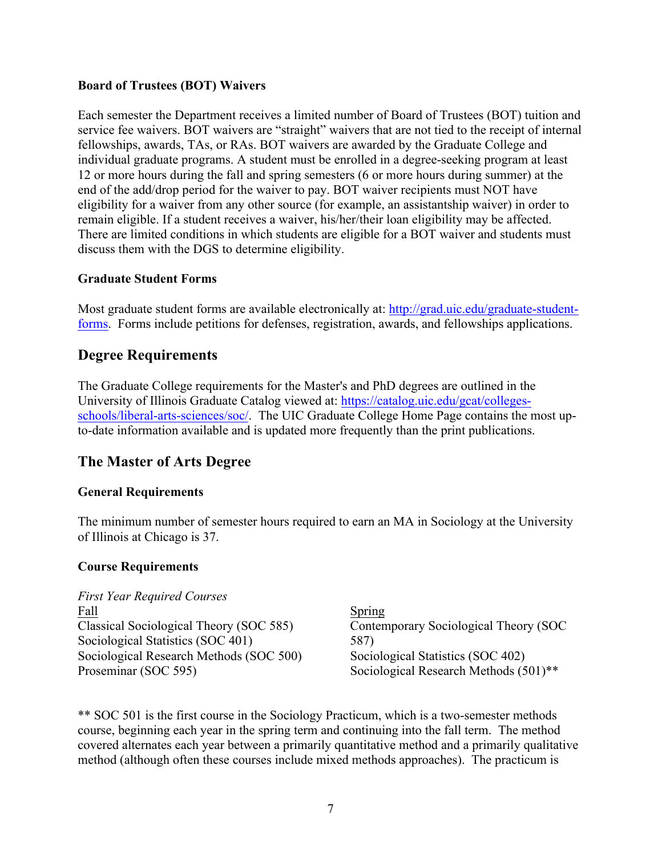### **Board of Trustees (BOT) Waivers**

Each semester the Department receives a limited number of Board of Trustees (BOT) tuition and service fee waivers. BOT waivers are "straight" waivers that are not tied to the receipt of internal fellowships, awards, TAs, or RAs. BOT waivers are awarded by the Graduate College and individual graduate programs. A student must be enrolled in a degree-seeking program at least 12 or more hours during the fall and spring semesters (6 or more hours during summer) at the end of the add/drop period for the waiver to pay. BOT waiver recipients must NOT have eligibility for a waiver from any other source (for example, an assistantship waiver) in order to remain eligible. If a student receives a waiver, his/her/their loan eligibility may be affected. There are limited conditions in which students are eligible for a BOT waiver and students must discuss them with the DGS to determine eligibility.

### **Graduate Student Forms**

Most graduate student forms are available electronically at: http://grad.uic.edu/graduate-studentforms. Forms include petitions for defenses, registration, awards, and fellowships applications.

# **Degree Requirements**

The Graduate College requirements for the Master's and PhD degrees are outlined in the University of Illinois Graduate Catalog viewed at: https://catalog.uic.edu/gcat/collegesschools/liberal-arts-sciences/soc/. The UIC Graduate College Home Page contains the most upto-date information available and is updated more frequently than the print publications.

# **The Master of Arts Degree**

# **General Requirements**

The minimum number of semester hours required to earn an MA in Sociology at the University of Illinois at Chicago is 37.

#### **Course Requirements**

*First Year Required Courses* Fall Classical Sociological Theory (SOC 585) Sociological Statistics (SOC 401) Sociological Research Methods (SOC 500) Proseminar (SOC 595)

Spring Contemporary Sociological Theory (SOC 587) Sociological Statistics (SOC 402) Sociological Research Methods (501)\*\*

\*\* SOC 501 is the first course in the Sociology Practicum, which is a two-semester methods course, beginning each year in the spring term and continuing into the fall term. The method covered alternates each year between a primarily quantitative method and a primarily qualitative method (although often these courses include mixed methods approaches). The practicum is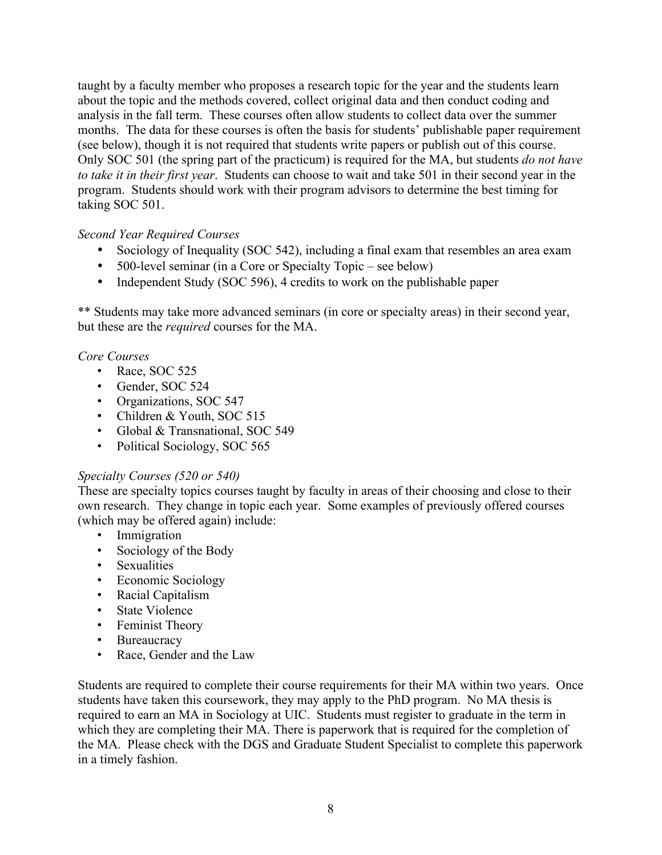taught by a faculty member who proposes a research topic for the year and the students learn about the topic and the methods covered, collect original data and then conduct coding and analysis in the fall term. These courses often allow students to collect data over the summer months. The data for these courses is often the basis for students' publishable paper requirement (see below), though it is not required that students write papers or publish out of this course. Only SOC 501 (the spring part of the practicum) is required for the MA, but students *do not have to take it in their first year*. Students can choose to wait and take 501 in their second year in the program. Students should work with their program advisors to determine the best timing for taking SOC 501.

# *Second Year Required Courses*

- Sociology of Inequality (SOC 542), including a final exam that resembles an area exam
- 500-level seminar (in a Core or Specialty Topic see below)
- Independent Study (SOC 596), 4 credits to work on the publishable paper

\*\* Students may take more advanced seminars (in core or specialty areas) in their second year, but these are the *required* courses for the MA.

# *Core Courses*

- Race, SOC 525
- Gender, SOC 524
- Organizations, SOC 547
- Children & Youth, SOC 515
- Global & Transnational, SOC 549
- Political Sociology, SOC 565

# *Specialty Courses (520 or 540)*

These are specialty topics courses taught by faculty in areas of their choosing and close to their own research. They change in topic each year. Some examples of previously offered courses (which may be offered again) include:

- Immigration
- Sociology of the Body
- Sexualities
- Economic Sociology
- Racial Capitalism
- State Violence
- Feminist Theory
- Bureaucracy
- Race, Gender and the Law

Students are required to complete their course requirements for their MA within two years. Once students have taken this coursework, they may apply to the PhD program. No MA thesis is required to earn an MA in Sociology at UIC. Students must register to graduate in the term in which they are completing their MA. There is paperwork that is required for the completion of the MA. Please check with the DGS and Graduate Student Specialist to complete this paperwork in a timely fashion.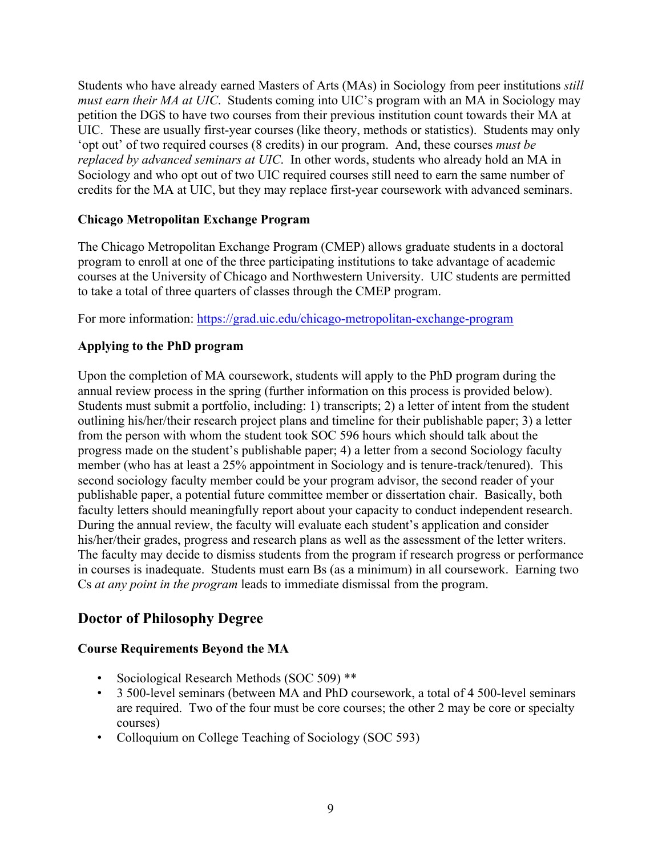Students who have already earned Masters of Arts (MAs) in Sociology from peer institutions *still must earn their MA at UIC*. Students coming into UIC's program with an MA in Sociology may petition the DGS to have two courses from their previous institution count towards their MA at UIC. These are usually first-year courses (like theory, methods or statistics). Students may only 'opt out' of two required courses (8 credits) in our program. And, these courses *must be replaced by advanced seminars at UIC*. In other words, students who already hold an MA in Sociology and who opt out of two UIC required courses still need to earn the same number of credits for the MA at UIC, but they may replace first-year coursework with advanced seminars.

# **Chicago Metropolitan Exchange Program**

The Chicago Metropolitan Exchange Program (CMEP) allows graduate students in a doctoral program to enroll at one of the three participating institutions to take advantage of academic courses at the University of Chicago and Northwestern University. UIC students are permitted to take a total of three quarters of classes through the CMEP program.

For more information: https://grad.uic.edu/chicago-metropolitan-exchange-program

# **Applying to the PhD program**

Upon the completion of MA coursework, students will apply to the PhD program during the annual review process in the spring (further information on this process is provided below). Students must submit a portfolio, including: 1) transcripts; 2) a letter of intent from the student outlining his/her/their research project plans and timeline for their publishable paper; 3) a letter from the person with whom the student took SOC 596 hours which should talk about the progress made on the student's publishable paper; 4) a letter from a second Sociology faculty member (who has at least a 25% appointment in Sociology and is tenure-track/tenured). This second sociology faculty member could be your program advisor, the second reader of your publishable paper, a potential future committee member or dissertation chair. Basically, both faculty letters should meaningfully report about your capacity to conduct independent research. During the annual review, the faculty will evaluate each student's application and consider his/her/their grades, progress and research plans as well as the assessment of the letter writers. The faculty may decide to dismiss students from the program if research progress or performance in courses is inadequate. Students must earn Bs (as a minimum) in all coursework. Earning two Cs *at any point in the program* leads to immediate dismissal from the program.

# **Doctor of Philosophy Degree**

# **Course Requirements Beyond the MA**

- Sociological Research Methods (SOC 509) \*\*
- 3 500-level seminars (between MA and PhD coursework, a total of 4 500-level seminars are required. Two of the four must be core courses; the other 2 may be core or specialty courses)
- Colloquium on College Teaching of Sociology (SOC 593)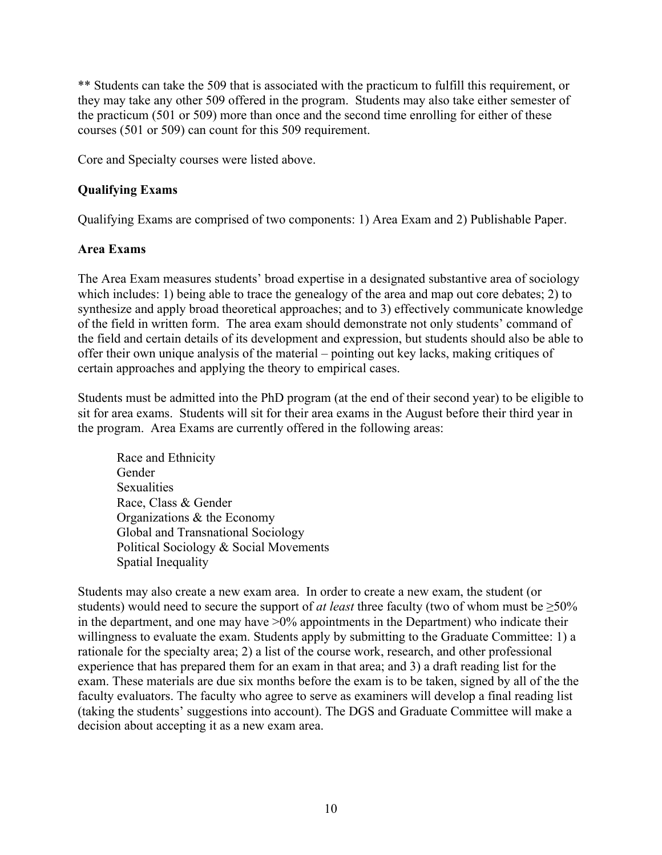\*\* Students can take the 509 that is associated with the practicum to fulfill this requirement, or they may take any other 509 offered in the program. Students may also take either semester of the practicum (501 or 509) more than once and the second time enrolling for either of these courses (501 or 509) can count for this 509 requirement.

Core and Specialty courses were listed above.

### **Qualifying Exams**

Qualifying Exams are comprised of two components: 1) Area Exam and 2) Publishable Paper.

### **Area Exams**

The Area Exam measures students' broad expertise in a designated substantive area of sociology which includes: 1) being able to trace the genealogy of the area and map out core debates; 2) to synthesize and apply broad theoretical approaches; and to 3) effectively communicate knowledge of the field in written form. The area exam should demonstrate not only students' command of the field and certain details of its development and expression, but students should also be able to offer their own unique analysis of the material – pointing out key lacks, making critiques of certain approaches and applying the theory to empirical cases.

Students must be admitted into the PhD program (at the end of their second year) to be eligible to sit for area exams. Students will sit for their area exams in the August before their third year in the program. Area Exams are currently offered in the following areas:

Race and Ethnicity Gender **Sexualities** Race, Class & Gender Organizations & the Economy Global and Transnational Sociology Political Sociology & Social Movements Spatial Inequality

Students may also create a new exam area. In order to create a new exam, the student (or students) would need to secure the support of *at least* three faculty (two of whom must be ≥50% in the department, and one may have  $>0\%$  appointments in the Department) who indicate their willingness to evaluate the exam. Students apply by submitting to the Graduate Committee: 1) a rationale for the specialty area; 2) a list of the course work, research, and other professional experience that has prepared them for an exam in that area; and 3) a draft reading list for the exam. These materials are due six months before the exam is to be taken, signed by all of the the faculty evaluators. The faculty who agree to serve as examiners will develop a final reading list (taking the students' suggestions into account). The DGS and Graduate Committee will make a decision about accepting it as a new exam area.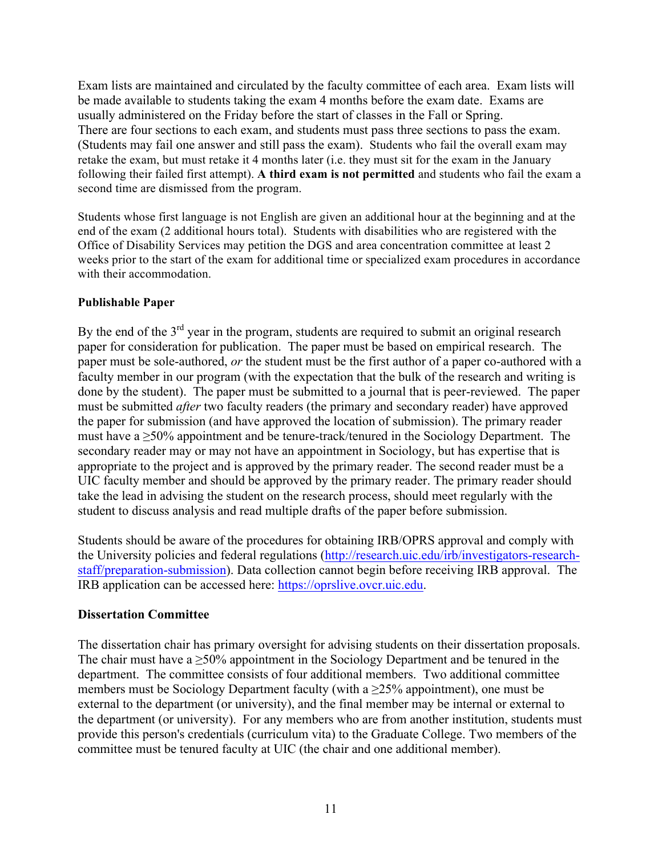Exam lists are maintained and circulated by the faculty committee of each area. Exam lists will be made available to students taking the exam 4 months before the exam date. Exams are usually administered on the Friday before the start of classes in the Fall or Spring. There are four sections to each exam, and students must pass three sections to pass the exam. (Students may fail one answer and still pass the exam). Students who fail the overall exam may retake the exam, but must retake it 4 months later (i.e. they must sit for the exam in the January following their failed first attempt). **A third exam is not permitted** and students who fail the exam a second time are dismissed from the program.

Students whose first language is not English are given an additional hour at the beginning and at the end of the exam (2 additional hours total). Students with disabilities who are registered with the Office of Disability Services may petition the DGS and area concentration committee at least 2 weeks prior to the start of the exam for additional time or specialized exam procedures in accordance with their accommodation.

### **Publishable Paper**

By the end of the  $3<sup>rd</sup>$  year in the program, students are required to submit an original research paper for consideration for publication. The paper must be based on empirical research. The paper must be sole-authored, *or* the student must be the first author of a paper co-authored with a faculty member in our program (with the expectation that the bulk of the research and writing is done by the student). The paper must be submitted to a journal that is peer-reviewed. The paper must be submitted *after* two faculty readers (the primary and secondary reader) have approved the paper for submission (and have approved the location of submission). The primary reader must have a  $\geq$ 50% appointment and be tenure-track/tenured in the Sociology Department. The secondary reader may or may not have an appointment in Sociology, but has expertise that is appropriate to the project and is approved by the primary reader. The second reader must be a UIC faculty member and should be approved by the primary reader. The primary reader should take the lead in advising the student on the research process, should meet regularly with the student to discuss analysis and read multiple drafts of the paper before submission.

Students should be aware of the procedures for obtaining IRB/OPRS approval and comply with the University policies and federal regulations (http://research.uic.edu/irb/investigators-researchstaff/preparation-submission). Data collection cannot begin before receiving IRB approval. The IRB application can be accessed here: https://oprslive.ovcr.uic.edu.

# **Dissertation Committee**

The dissertation chair has primary oversight for advising students on their dissertation proposals. The chair must have a  $\geq 50\%$  appointment in the Sociology Department and be tenured in the department. The committee consists of four additional members. Two additional committee members must be Sociology Department faculty (with a  $\geq$  25% appointment), one must be external to the department (or university), and the final member may be internal or external to the department (or university). For any members who are from another institution, students must provide this person's credentials (curriculum vita) to the Graduate College. Two members of the committee must be tenured faculty at UIC (the chair and one additional member).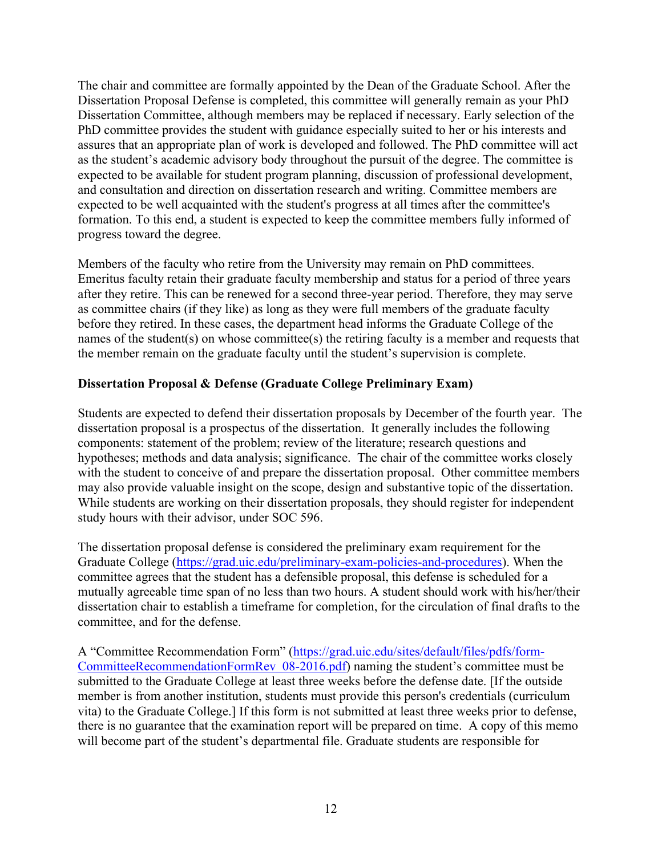The chair and committee are formally appointed by the Dean of the Graduate School. After the Dissertation Proposal Defense is completed, this committee will generally remain as your PhD Dissertation Committee, although members may be replaced if necessary. Early selection of the PhD committee provides the student with guidance especially suited to her or his interests and assures that an appropriate plan of work is developed and followed. The PhD committee will act as the student's academic advisory body throughout the pursuit of the degree. The committee is expected to be available for student program planning, discussion of professional development, and consultation and direction on dissertation research and writing. Committee members are expected to be well acquainted with the student's progress at all times after the committee's formation. To this end, a student is expected to keep the committee members fully informed of progress toward the degree.

Members of the faculty who retire from the University may remain on PhD committees. Emeritus faculty retain their graduate faculty membership and status for a period of three years after they retire. This can be renewed for a second three-year period. Therefore, they may serve as committee chairs (if they like) as long as they were full members of the graduate faculty before they retired. In these cases, the department head informs the Graduate College of the names of the student(s) on whose committee(s) the retiring faculty is a member and requests that the member remain on the graduate faculty until the student's supervision is complete.

### **Dissertation Proposal & Defense (Graduate College Preliminary Exam)**

Students are expected to defend their dissertation proposals by December of the fourth year. The dissertation proposal is a prospectus of the dissertation. It generally includes the following components: statement of the problem; review of the literature; research questions and hypotheses; methods and data analysis; significance. The chair of the committee works closely with the student to conceive of and prepare the dissertation proposal. Other committee members may also provide valuable insight on the scope, design and substantive topic of the dissertation. While students are working on their dissertation proposals, they should register for independent study hours with their advisor, under SOC 596.

The dissertation proposal defense is considered the preliminary exam requirement for the Graduate College (https://grad.uic.edu/preliminary-exam-policies-and-procedures). When the committee agrees that the student has a defensible proposal, this defense is scheduled for a mutually agreeable time span of no less than two hours. A student should work with his/her/their dissertation chair to establish a timeframe for completion, for the circulation of final drafts to the committee, and for the defense.

A "Committee Recommendation Form" (https://grad.uic.edu/sites/default/files/pdfs/form-CommitteeRecommendationFormRev\_08-2016.pdf) naming the student's committee must be submitted to the Graduate College at least three weeks before the defense date. [If the outside member is from another institution, students must provide this person's credentials (curriculum vita) to the Graduate College.] If this form is not submitted at least three weeks prior to defense, there is no guarantee that the examination report will be prepared on time. A copy of this memo will become part of the student's departmental file. Graduate students are responsible for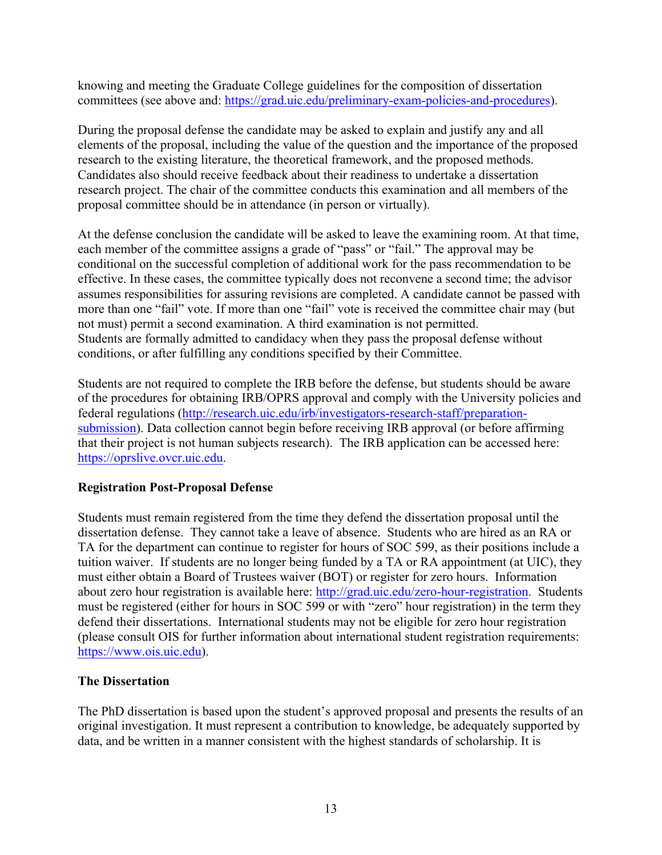knowing and meeting the Graduate College guidelines for the composition of dissertation committees (see above and: https://grad.uic.edu/preliminary-exam-policies-and-procedures).

During the proposal defense the candidate may be asked to explain and justify any and all elements of the proposal, including the value of the question and the importance of the proposed research to the existing literature, the theoretical framework, and the proposed methods. Candidates also should receive feedback about their readiness to undertake a dissertation research project. The chair of the committee conducts this examination and all members of the proposal committee should be in attendance (in person or virtually).

At the defense conclusion the candidate will be asked to leave the examining room. At that time, each member of the committee assigns a grade of "pass" or "fail." The approval may be conditional on the successful completion of additional work for the pass recommendation to be effective. In these cases, the committee typically does not reconvene a second time; the advisor assumes responsibilities for assuring revisions are completed. A candidate cannot be passed with more than one "fail" vote. If more than one "fail" vote is received the committee chair may (but not must) permit a second examination. A third examination is not permitted. Students are formally admitted to candidacy when they pass the proposal defense without conditions, or after fulfilling any conditions specified by their Committee.

Students are not required to complete the IRB before the defense, but students should be aware of the procedures for obtaining IRB/OPRS approval and comply with the University policies and federal regulations (http://research.uic.edu/irb/investigators-research-staff/preparationsubmission). Data collection cannot begin before receiving IRB approval (or before affirming that their project is not human subjects research). The IRB application can be accessed here: https://oprslive.ovcr.uic.edu.

# **Registration Post-Proposal Defense**

Students must remain registered from the time they defend the dissertation proposal until the dissertation defense. They cannot take a leave of absence. Students who are hired as an RA or TA for the department can continue to register for hours of SOC 599, as their positions include a tuition waiver. If students are no longer being funded by a TA or RA appointment (at UIC), they must either obtain a Board of Trustees waiver (BOT) or register for zero hours. Information about zero hour registration is available here: http://grad.uic.edu/zero-hour-registration. Students must be registered (either for hours in SOC 599 or with "zero" hour registration) in the term they defend their dissertations. International students may not be eligible for zero hour registration (please consult OIS for further information about international student registration requirements: https://www.ois.uic.edu).

#### **The Dissertation**

The PhD dissertation is based upon the student's approved proposal and presents the results of an original investigation. It must represent a contribution to knowledge, be adequately supported by data, and be written in a manner consistent with the highest standards of scholarship. It is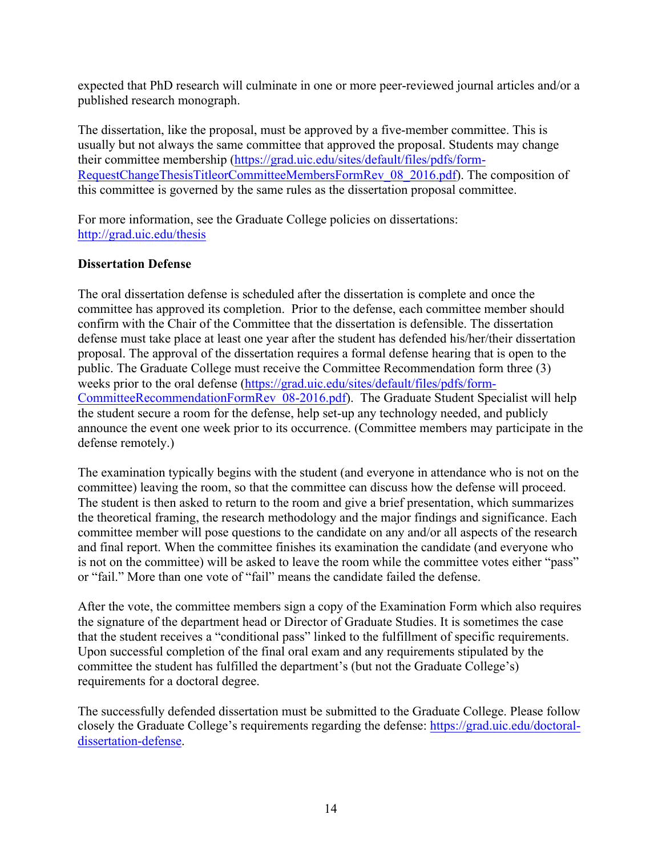expected that PhD research will culminate in one or more peer-reviewed journal articles and/or a published research monograph.

The dissertation, like the proposal, must be approved by a five-member committee. This is usually but not always the same committee that approved the proposal. Students may change their committee membership (https://grad.uic.edu/sites/default/files/pdfs/form-RequestChangeThesisTitleorCommitteeMembersFormRev\_08\_2016.pdf). The composition of this committee is governed by the same rules as the dissertation proposal committee.

For more information, see the Graduate College policies on dissertations: http://grad.uic.edu/thesis

# **Dissertation Defense**

The oral dissertation defense is scheduled after the dissertation is complete and once the committee has approved its completion. Prior to the defense, each committee member should confirm with the Chair of the Committee that the dissertation is defensible. The dissertation defense must take place at least one year after the student has defended his/her/their dissertation proposal. The approval of the dissertation requires a formal defense hearing that is open to the public. The Graduate College must receive the Committee Recommendation form three (3) weeks prior to the oral defense (https://grad.uic.edu/sites/default/files/pdfs/form-CommitteeRecommendationFormRev\_08-2016.pdf). The Graduate Student Specialist will help the student secure a room for the defense, help set-up any technology needed, and publicly announce the event one week prior to its occurrence. (Committee members may participate in the defense remotely.)

The examination typically begins with the student (and everyone in attendance who is not on the committee) leaving the room, so that the committee can discuss how the defense will proceed. The student is then asked to return to the room and give a brief presentation, which summarizes the theoretical framing, the research methodology and the major findings and significance. Each committee member will pose questions to the candidate on any and/or all aspects of the research and final report. When the committee finishes its examination the candidate (and everyone who is not on the committee) will be asked to leave the room while the committee votes either "pass" or "fail." More than one vote of "fail" means the candidate failed the defense.

After the vote, the committee members sign a copy of the Examination Form which also requires the signature of the department head or Director of Graduate Studies. It is sometimes the case that the student receives a "conditional pass" linked to the fulfillment of specific requirements. Upon successful completion of the final oral exam and any requirements stipulated by the committee the student has fulfilled the department's (but not the Graduate College's) requirements for a doctoral degree.

The successfully defended dissertation must be submitted to the Graduate College. Please follow closely the Graduate College's requirements regarding the defense: https://grad.uic.edu/doctoraldissertation-defense.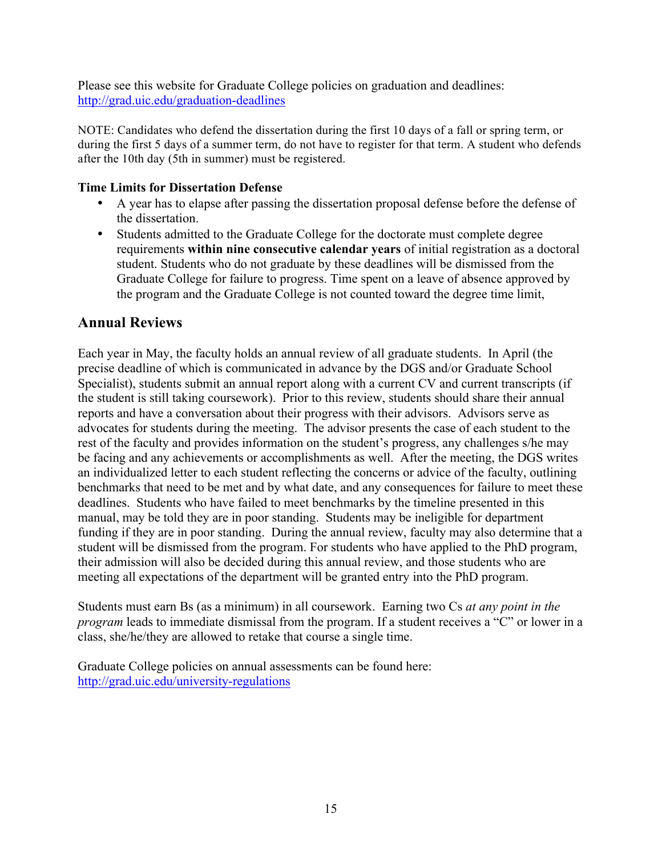Please see this website for Graduate College policies on graduation and deadlines: http://grad.uic.edu/graduation-deadlines

NOTE: Candidates who defend the dissertation during the first 10 days of a fall or spring term, or during the first 5 days of a summer term, do not have to register for that term. A student who defends after the 10th day (5th in summer) must be registered.

# **Time Limits for Dissertation Defense**

- A year has to elapse after passing the dissertation proposal defense before the defense of the dissertation.
- Students admitted to the Graduate College for the doctorate must complete degree requirements **within nine consecutive calendar years** of initial registration as a doctoral student. Students who do not graduate by these deadlines will be dismissed from the Graduate College for failure to progress. Time spent on a leave of absence approved by the program and the Graduate College is not counted toward the degree time limit,

# **Annual Reviews**

Each year in May, the faculty holds an annual review of all graduate students. In April (the precise deadline of which is communicated in advance by the DGS and/or Graduate School Specialist), students submit an annual report along with a current CV and current transcripts (if the student is still taking coursework). Prior to this review, students should share their annual reports and have a conversation about their progress with their advisors. Advisors serve as advocates for students during the meeting. The advisor presents the case of each student to the rest of the faculty and provides information on the student's progress, any challenges s/he may be facing and any achievements or accomplishments as well. After the meeting, the DGS writes an individualized letter to each student reflecting the concerns or advice of the faculty, outlining benchmarks that need to be met and by what date, and any consequences for failure to meet these deadlines. Students who have failed to meet benchmarks by the timeline presented in this manual, may be told they are in poor standing. Students may be ineligible for department funding if they are in poor standing. During the annual review, faculty may also determine that a student will be dismissed from the program. For students who have applied to the PhD program, their admission will also be decided during this annual review, and those students who are meeting all expectations of the department will be granted entry into the PhD program.

Students must earn Bs (as a minimum) in all coursework. Earning two Cs *at any point in the program* leads to immediate dismissal from the program. If a student receives a "C" or lower in a class, she/he/they are allowed to retake that course a single time.

Graduate College policies on annual assessments can be found here: http://grad.uic.edu/university-regulations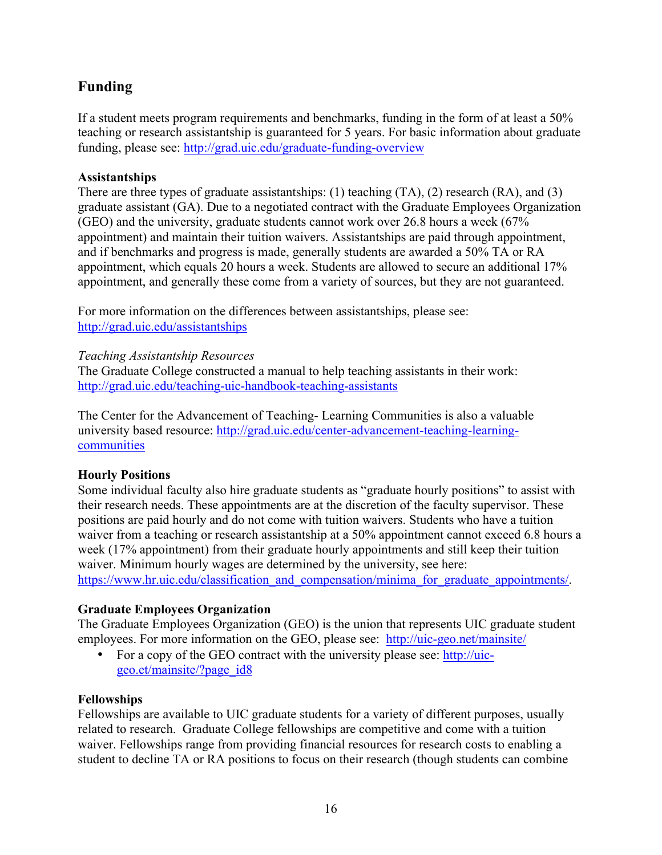# **Funding**

If a student meets program requirements and benchmarks, funding in the form of at least a 50% teaching or research assistantship is guaranteed for 5 years. For basic information about graduate funding, please see: http://grad.uic.edu/graduate-funding-overview

# **Assistantships**

There are three types of graduate assistantships: (1) teaching (TA), (2) research (RA), and (3) graduate assistant (GA). Due to a negotiated contract with the Graduate Employees Organization (GEO) and the university, graduate students cannot work over 26.8 hours a week (67% appointment) and maintain their tuition waivers. Assistantships are paid through appointment, and if benchmarks and progress is made, generally students are awarded a 50% TA or RA appointment, which equals 20 hours a week. Students are allowed to secure an additional 17% appointment, and generally these come from a variety of sources, but they are not guaranteed.

For more information on the differences between assistantships, please see: http://grad.uic.edu/assistantships

# *Teaching Assistantship Resources*

The Graduate College constructed a manual to help teaching assistants in their work: http://grad.uic.edu/teaching-uic-handbook-teaching-assistants

The Center for the Advancement of Teaching- Learning Communities is also a valuable university based resource: http://grad.uic.edu/center-advancement-teaching-learningcommunities

# **Hourly Positions**

Some individual faculty also hire graduate students as "graduate hourly positions" to assist with their research needs. These appointments are at the discretion of the faculty supervisor. These positions are paid hourly and do not come with tuition waivers. Students who have a tuition waiver from a teaching or research assistantship at a 50% appointment cannot exceed 6.8 hours a week (17% appointment) from their graduate hourly appointments and still keep their tuition waiver. Minimum hourly wages are determined by the university, see here: https://www.hr.uic.edu/classification\_and\_compensation/minima\_for\_graduate\_appointments/.

# **Graduate Employees Organization**

The Graduate Employees Organization (GEO) is the union that represents UIC graduate student employees. For more information on the GEO, please see: http://uic-geo.net/mainsite/

• For a copy of the GEO contract with the university please see: http://uicgeo.et/mainsite/?page\_id8

# **Fellowships**

Fellowships are available to UIC graduate students for a variety of different purposes, usually related to research. Graduate College fellowships are competitive and come with a tuition waiver. Fellowships range from providing financial resources for research costs to enabling a student to decline TA or RA positions to focus on their research (though students can combine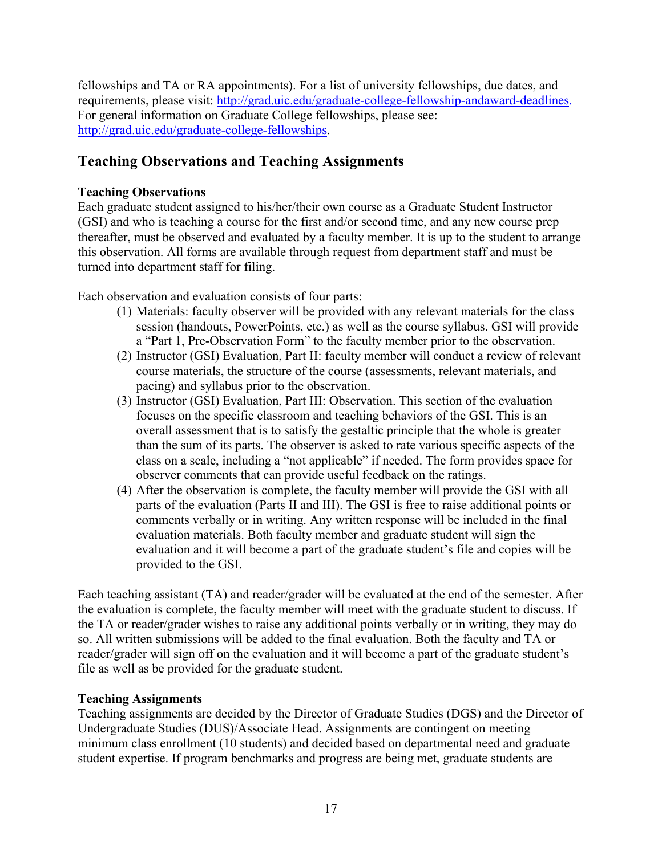fellowships and TA or RA appointments). For a list of university fellowships, due dates, and requirements, please visit: http://grad.uic.edu/graduate-college-fellowship-andaward-deadlines. For general information on Graduate College fellowships, please see: http://grad.uic.edu/graduate-college-fellowships.

# **Teaching Observations and Teaching Assignments**

# **Teaching Observations**

Each graduate student assigned to his/her/their own course as a Graduate Student Instructor (GSI) and who is teaching a course for the first and/or second time, and any new course prep thereafter, must be observed and evaluated by a faculty member. It is up to the student to arrange this observation. All forms are available through request from department staff and must be turned into department staff for filing.

Each observation and evaluation consists of four parts:

- (1) Materials: faculty observer will be provided with any relevant materials for the class session (handouts, PowerPoints, etc.) as well as the course syllabus. GSI will provide a "Part 1, Pre-Observation Form" to the faculty member prior to the observation.
- (2) Instructor (GSI) Evaluation, Part II: faculty member will conduct a review of relevant course materials, the structure of the course (assessments, relevant materials, and pacing) and syllabus prior to the observation.
- (3) Instructor (GSI) Evaluation, Part III: Observation. This section of the evaluation focuses on the specific classroom and teaching behaviors of the GSI. This is an overall assessment that is to satisfy the gestaltic principle that the whole is greater than the sum of its parts. The observer is asked to rate various specific aspects of the class on a scale, including a "not applicable" if needed. The form provides space for observer comments that can provide useful feedback on the ratings.
- (4) After the observation is complete, the faculty member will provide the GSI with all parts of the evaluation (Parts II and III). The GSI is free to raise additional points or comments verbally or in writing. Any written response will be included in the final evaluation materials. Both faculty member and graduate student will sign the evaluation and it will become a part of the graduate student's file and copies will be provided to the GSI.

Each teaching assistant (TA) and reader/grader will be evaluated at the end of the semester. After the evaluation is complete, the faculty member will meet with the graduate student to discuss. If the TA or reader/grader wishes to raise any additional points verbally or in writing, they may do so. All written submissions will be added to the final evaluation. Both the faculty and TA or reader/grader will sign off on the evaluation and it will become a part of the graduate student's file as well as be provided for the graduate student.

# **Teaching Assignments**

Teaching assignments are decided by the Director of Graduate Studies (DGS) and the Director of Undergraduate Studies (DUS)/Associate Head. Assignments are contingent on meeting minimum class enrollment (10 students) and decided based on departmental need and graduate student expertise. If program benchmarks and progress are being met, graduate students are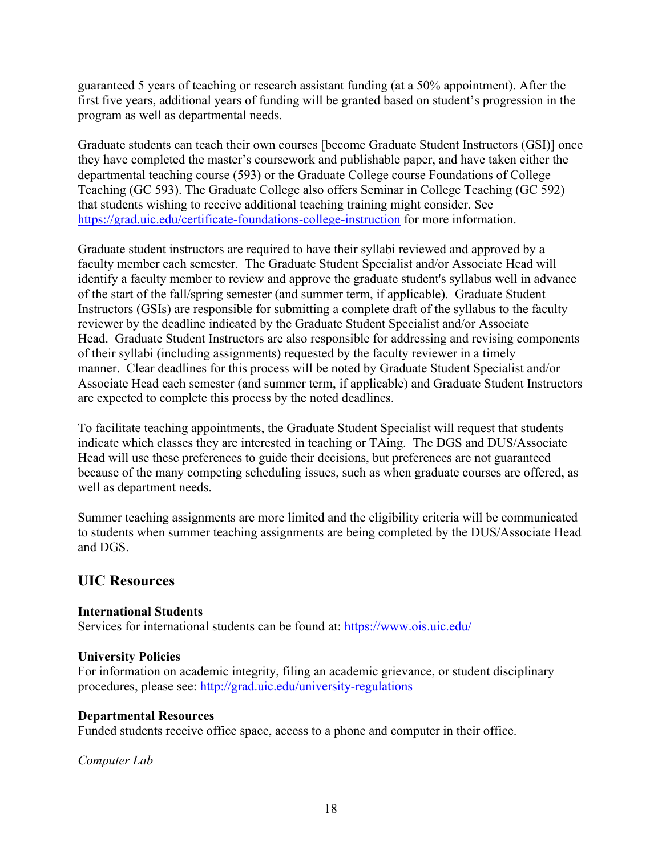guaranteed 5 years of teaching or research assistant funding (at a 50% appointment). After the first five years, additional years of funding will be granted based on student's progression in the program as well as departmental needs.

Graduate students can teach their own courses [become Graduate Student Instructors (GSI)] once they have completed the master's coursework and publishable paper, and have taken either the departmental teaching course (593) or the Graduate College course Foundations of College Teaching (GC 593). The Graduate College also offers Seminar in College Teaching (GC 592) that students wishing to receive additional teaching training might consider. See https://grad.uic.edu/certificate-foundations-college-instruction for more information.

Graduate student instructors are required to have their syllabi reviewed and approved by a faculty member each semester. The Graduate Student Specialist and/or Associate Head will identify a faculty member to review and approve the graduate student's syllabus well in advance of the start of the fall/spring semester (and summer term, if applicable). Graduate Student Instructors (GSIs) are responsible for submitting a complete draft of the syllabus to the faculty reviewer by the deadline indicated by the Graduate Student Specialist and/or Associate Head. Graduate Student Instructors are also responsible for addressing and revising components of their syllabi (including assignments) requested by the faculty reviewer in a timely manner. Clear deadlines for this process will be noted by Graduate Student Specialist and/or Associate Head each semester (and summer term, if applicable) and Graduate Student Instructors are expected to complete this process by the noted deadlines.

To facilitate teaching appointments, the Graduate Student Specialist will request that students indicate which classes they are interested in teaching or TAing. The DGS and DUS/Associate Head will use these preferences to guide their decisions, but preferences are not guaranteed because of the many competing scheduling issues, such as when graduate courses are offered, as well as department needs.

Summer teaching assignments are more limited and the eligibility criteria will be communicated to students when summer teaching assignments are being completed by the DUS/Associate Head and DGS.

# **UIC Resources**

# **International Students**

Services for international students can be found at: https://www.ois.uic.edu/

# **University Policies**

For information on academic integrity, filing an academic grievance, or student disciplinary procedures, please see: http://grad.uic.edu/university-regulations

#### **Departmental Resources**

Funded students receive office space, access to a phone and computer in their office.

*Computer Lab*